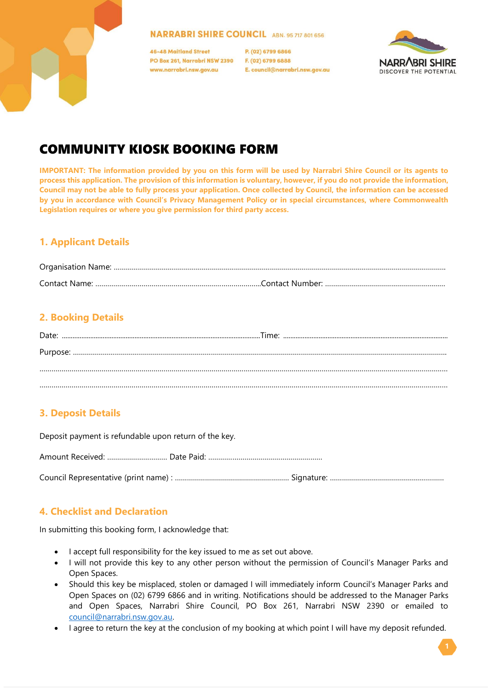#### **NARRABRI SHIRE COUNCIL ABN. 95 717 801 656**

**46-48 Maitland Street** PO Box 261, Narrabri NSW 2390 www.narrabri.nsw.gov.au

P. (02) 6799 6866 F. (02) 6799 6888 E. council@narrabri.nsw.gov.au



# COMMUNITY KIOSK BOOKING FORM

**IMPORTANT: The information provided by you on this form will be used by Narrabri Shire Council or its agents to process this application. The provision of this information is voluntary, however, if you do not provide the information, Council may not be able to fully process your application. Once collected by Council, the information can be accessed by you in accordance with Council's Privacy Management Policy or in special circumstances, where Commonwealth Legislation requires or where you give permission for third party access.**

### **1. Applicant Details**

## **2. Booking Details**

# **3. Deposit Details**

Deposit payment is refundable upon return of the key.

Amount Received: ………………………… Date Paid: …………………………………………………

Council Representative (print name) : ………………………………………………… Signature: …………………………………………………

### **4. Checklist and Declaration**

In submitting this booking form, I acknowledge that:

- I accept full responsibility for the key issued to me as set out above.
- I will not provide this key to any other person without the permission of Council's Manager Parks and Open Spaces.
- Should this key be misplaced, stolen or damaged I will immediately inform Council's Manager Parks and Open Spaces on (02) 6799 6866 and in writing. Notifications should be addressed to the Manager Parks and Open Spaces, Narrabri Shire Council, PO Box 261, Narrabri NSW 2390 or emailed to [council@narrabri.nsw.gov.au.](mailto:council@narrabri.nsw.gov.au)
- I agree to return the key at the conclusion of my booking at which point I will have my deposit refunded.